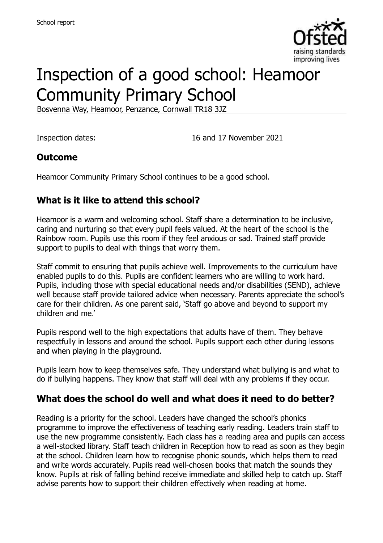

# Inspection of a good school: Heamoor Community Primary School

Bosvenna Way, Heamoor, Penzance, Cornwall TR18 3JZ

Inspection dates: 16 and 17 November 2021

#### **Outcome**

Heamoor Community Primary School continues to be a good school.

#### **What is it like to attend this school?**

Heamoor is a warm and welcoming school. Staff share a determination to be inclusive, caring and nurturing so that every pupil feels valued. At the heart of the school is the Rainbow room. Pupils use this room if they feel anxious or sad. Trained staff provide support to pupils to deal with things that worry them.

Staff commit to ensuring that pupils achieve well. Improvements to the curriculum have enabled pupils to do this. Pupils are confident learners who are willing to work hard. Pupils, including those with special educational needs and/or disabilities (SEND), achieve well because staff provide tailored advice when necessary. Parents appreciate the school's care for their children. As one parent said, 'Staff go above and beyond to support my children and me.'

Pupils respond well to the high expectations that adults have of them. They behave respectfully in lessons and around the school. Pupils support each other during lessons and when playing in the playground.

Pupils learn how to keep themselves safe. They understand what bullying is and what to do if bullying happens. They know that staff will deal with any problems if they occur.

#### **What does the school do well and what does it need to do better?**

Reading is a priority for the school. Leaders have changed the school's phonics programme to improve the effectiveness of teaching early reading. Leaders train staff to use the new programme consistently. Each class has a reading area and pupils can access a well-stocked library. Staff teach children in Reception how to read as soon as they begin at the school. Children learn how to recognise phonic sounds, which helps them to read and write words accurately. Pupils read well-chosen books that match the sounds they know. Pupils at risk of falling behind receive immediate and skilled help to catch up. Staff advise parents how to support their children effectively when reading at home.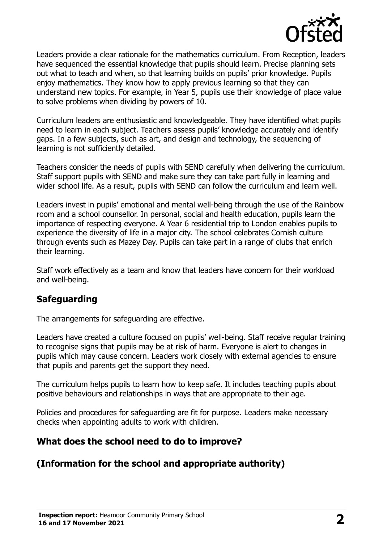

Leaders provide a clear rationale for the mathematics curriculum. From Reception, leaders have sequenced the essential knowledge that pupils should learn. Precise planning sets out what to teach and when, so that learning builds on pupils' prior knowledge. Pupils enjoy mathematics. They know how to apply previous learning so that they can understand new topics. For example, in Year 5, pupils use their knowledge of place value to solve problems when dividing by powers of 10.

Curriculum leaders are enthusiastic and knowledgeable. They have identified what pupils need to learn in each subject. Teachers assess pupils' knowledge accurately and identify gaps. In a few subjects, such as art, and design and technology, the sequencing of learning is not sufficiently detailed.

Teachers consider the needs of pupils with SEND carefully when delivering the curriculum. Staff support pupils with SEND and make sure they can take part fully in learning and wider school life. As a result, pupils with SEND can follow the curriculum and learn well.

Leaders invest in pupils' emotional and mental well-being through the use of the Rainbow room and a school counsellor. In personal, social and health education, pupils learn the importance of respecting everyone. A Year 6 residential trip to London enables pupils to experience the diversity of life in a major city. The school celebrates Cornish culture through events such as Mazey Day. Pupils can take part in a range of clubs that enrich their learning.

Staff work effectively as a team and know that leaders have concern for their workload and well-being.

#### **Safeguarding**

The arrangements for safeguarding are effective.

Leaders have created a culture focused on pupils' well-being. Staff receive regular training to recognise signs that pupils may be at risk of harm. Everyone is alert to changes in pupils which may cause concern. Leaders work closely with external agencies to ensure that pupils and parents get the support they need.

The curriculum helps pupils to learn how to keep safe. It includes teaching pupils about positive behaviours and relationships in ways that are appropriate to their age.

Policies and procedures for safeguarding are fit for purpose. Leaders make necessary checks when appointing adults to work with children.

#### **What does the school need to do to improve?**

## **(Information for the school and appropriate authority)**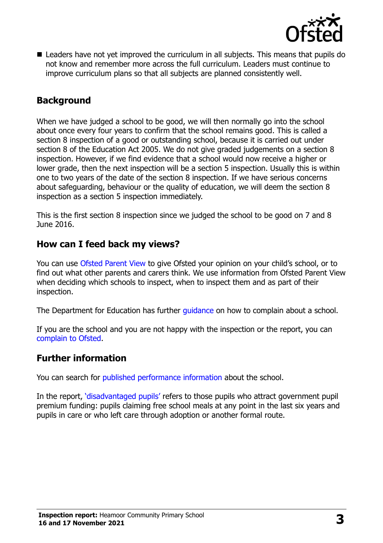

■ Leaders have not vet improved the curriculum in all subjects. This means that pupils do not know and remember more across the full curriculum. Leaders must continue to improve curriculum plans so that all subjects are planned consistently well.

#### **Background**

When we have judged a school to be good, we will then normally go into the school about once every four years to confirm that the school remains good. This is called a section 8 inspection of a good or outstanding school, because it is carried out under section 8 of the Education Act 2005. We do not give graded judgements on a section 8 inspection. However, if we find evidence that a school would now receive a higher or lower grade, then the next inspection will be a section 5 inspection. Usually this is within one to two years of the date of the section 8 inspection. If we have serious concerns about safeguarding, behaviour or the quality of education, we will deem the section 8 inspection as a section 5 inspection immediately.

This is the first section 8 inspection since we judged the school to be good on 7 and 8 June 2016.

#### **How can I feed back my views?**

You can use [Ofsted Parent View](https://parentview.ofsted.gov.uk/) to give Ofsted your opinion on your child's school, or to find out what other parents and carers think. We use information from Ofsted Parent View when deciding which schools to inspect, when to inspect them and as part of their inspection.

The Department for Education has further *guidance* on how to complain about a school.

If you are the school and you are not happy with the inspection or the report, you can [complain to Ofsted.](https://www.gov.uk/complain-ofsted-report)

#### **Further information**

You can search for [published performance information](http://www.compare-school-performance.service.gov.uk/) about the school.

In the report, '[disadvantaged pupils](http://www.gov.uk/guidance/pupil-premium-information-for-schools-and-alternative-provision-settings)' refers to those pupils who attract government pupil premium funding: pupils claiming free school meals at any point in the last six years and pupils in care or who left care through adoption or another formal route.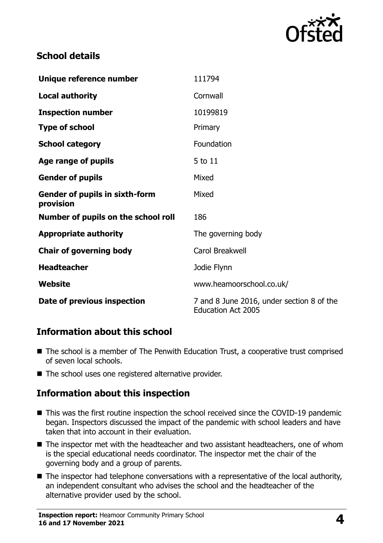

#### **School details**

| Unique reference number                            | 111794                                                                 |
|----------------------------------------------------|------------------------------------------------------------------------|
| <b>Local authority</b>                             | Cornwall                                                               |
| <b>Inspection number</b>                           | 10199819                                                               |
| <b>Type of school</b>                              | Primary                                                                |
| <b>School category</b>                             | Foundation                                                             |
| Age range of pupils                                | 5 to 11                                                                |
| <b>Gender of pupils</b>                            | Mixed                                                                  |
| <b>Gender of pupils in sixth-form</b><br>provision | Mixed                                                                  |
| Number of pupils on the school roll                | 186                                                                    |
| <b>Appropriate authority</b>                       | The governing body                                                     |
| <b>Chair of governing body</b>                     | Carol Breakwell                                                        |
| <b>Headteacher</b>                                 | Jodie Flynn                                                            |
| Website                                            | www.heamoorschool.co.uk/                                               |
| Date of previous inspection                        | 7 and 8 June 2016, under section 8 of the<br><b>Education Act 2005</b> |

## **Information about this school**

- The school is a member of The Penwith Education Trust, a cooperative trust comprised of seven local schools.
- The school uses one registered alternative provider.

## **Information about this inspection**

- This was the first routine inspection the school received since the COVID-19 pandemic began. Inspectors discussed the impact of the pandemic with school leaders and have taken that into account in their evaluation.
- The inspector met with the headteacher and two assistant headteachers, one of whom is the special educational needs coordinator. The inspector met the chair of the governing body and a group of parents.
- The inspector had telephone conversations with a representative of the local authority, an independent consultant who advises the school and the headteacher of the alternative provider used by the school.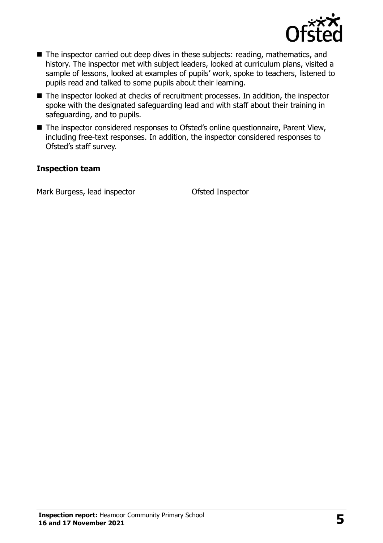

- The inspector carried out deep dives in these subjects: reading, mathematics, and history. The inspector met with subject leaders, looked at curriculum plans, visited a sample of lessons, looked at examples of pupils' work, spoke to teachers, listened to pupils read and talked to some pupils about their learning.
- The inspector looked at checks of recruitment processes. In addition, the inspector spoke with the designated safeguarding lead and with staff about their training in safeguarding, and to pupils.
- The inspector considered responses to Ofsted's online questionnaire, Parent View, including free-text responses. In addition, the inspector considered responses to Ofsted's staff survey.

#### **Inspection team**

Mark Burgess, lead inspector **Contact Contact Contact Contact Contact Contact Contact Contact Contact Contact Contact Contact Contact Contact Contact Contact Contact Contact Contact Contact Contact Contact Contact Contact**